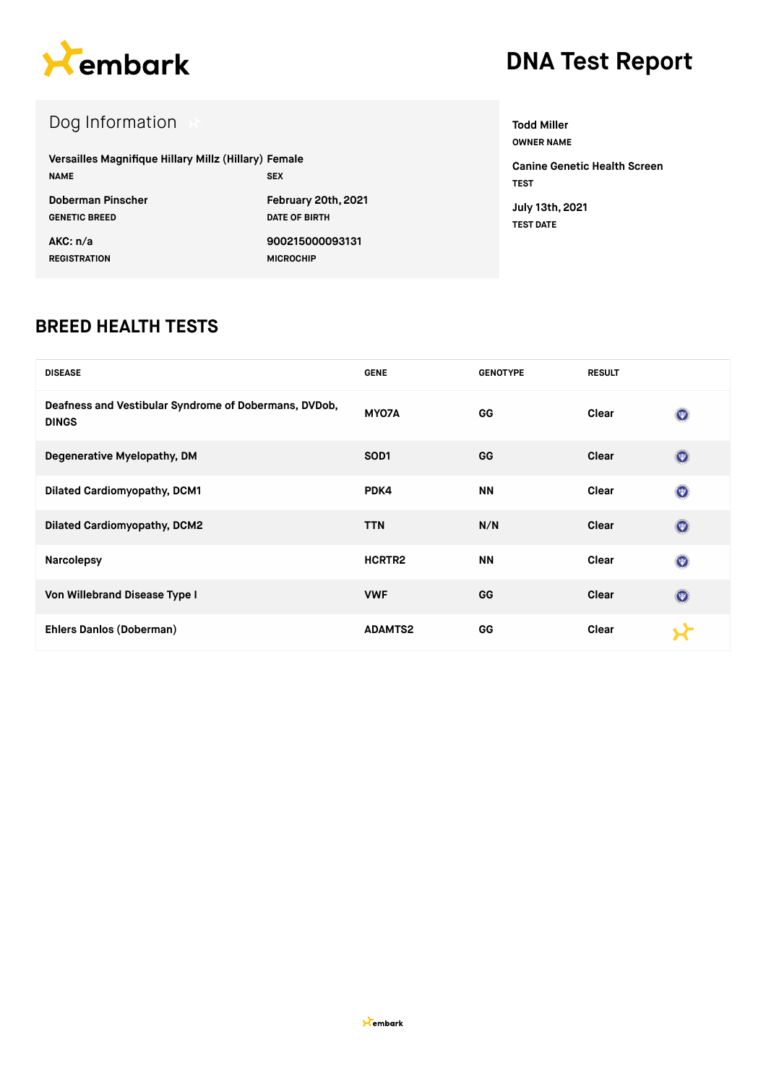

# **DNA Test Report**

## Dog Information

| Versailles Magnifique Hillary Millz (Hillary) Female<br><b>NAME</b> | <b>SEX</b>           |
|---------------------------------------------------------------------|----------------------|
| Doberman Pinscher                                                   | February 20th, 2021  |
| <b>GENETIC BREED</b>                                                | <b>DATE OF BIRTH</b> |
| AKC: n/a                                                            | 900215000093131      |
| <b>REGISTRATION</b>                                                 | <b>MICROCHIP</b>     |

**OWNER NAME Canine Genetic Health Screen TEST July 13th, 2021 TEST DATE**

**Todd Miller**

#### **BREED HEALTH TESTS**

| <b>DISEASE</b>                                                        | <b>GENE</b>      | <b>GENOTYPE</b> | <b>RESULT</b> |                |
|-----------------------------------------------------------------------|------------------|-----------------|---------------|----------------|
| Deafness and Vestibular Syndrome of Dobermans, DVDob,<br><b>DINGS</b> | MY07A            | GG              | Clear         | $\odot$        |
| Degenerative Myelopathy, DM                                           | SOD <sub>1</sub> | GG              | Clear         | $\odot$        |
| <b>Dilated Cardiomyopathy, DCM1</b>                                   | PDK4             | ΝN              | Clear         | $\odot$        |
| <b>Dilated Cardiomyopathy, DCM2</b>                                   | <b>TTN</b>       | N/N             | Clear         | $\circledcirc$ |
| <b>Narcolepsy</b>                                                     | HCRTR2           | <b>NN</b>       | Clear         | $\circledcirc$ |
| Von Willebrand Disease Type I                                         | <b>VWF</b>       | <b>GG</b>       | Clear         | $\circledcirc$ |
| Ehlers Danlos (Doberman)                                              | <b>ADAMTS2</b>   | GG              | Clear         |                |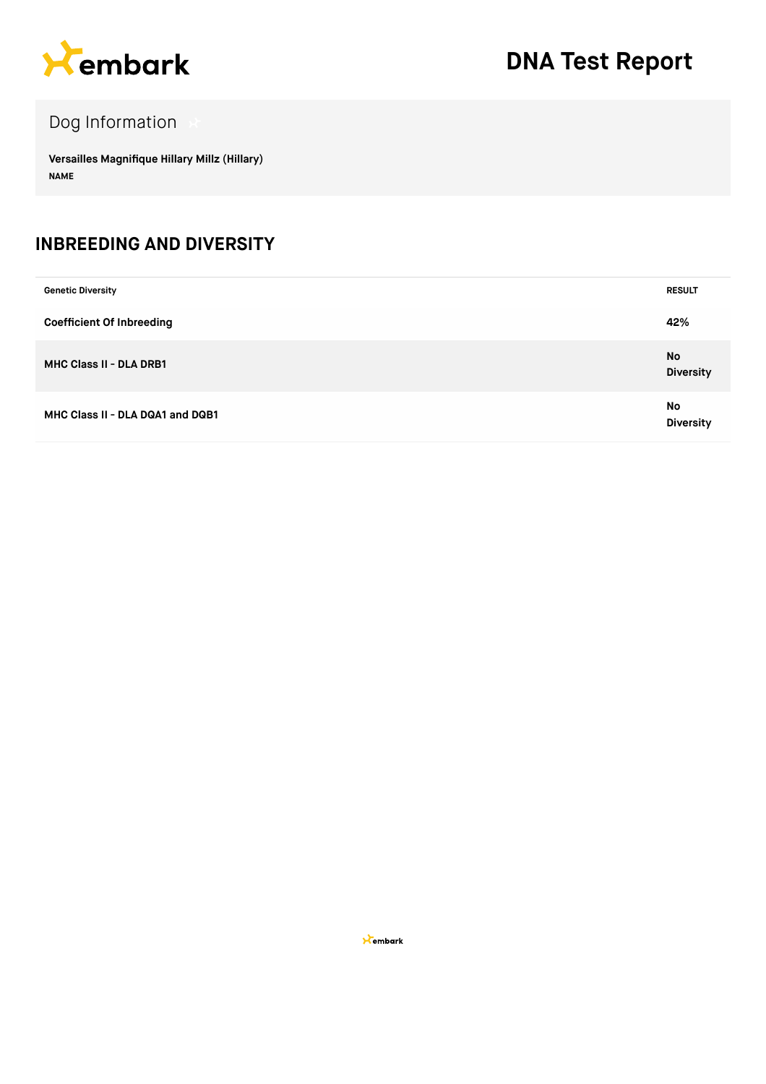

## Dog Information

**Versailles Magnifique Hillary Millz (Hillary) NAME**

#### **INBREEDING AND DIVERSITY**

| <b>Genetic Diversity</b>         | <b>RESULT</b>                 |
|----------------------------------|-------------------------------|
| <b>Coefficient Of Inbreeding</b> | 42%                           |
| <b>MHC Class II - DLA DRB1</b>   | <b>No</b><br><b>Diversity</b> |
| MHC Class II - DLA DQA1 and DQB1 | No<br><b>Diversity</b>        |

**X**embark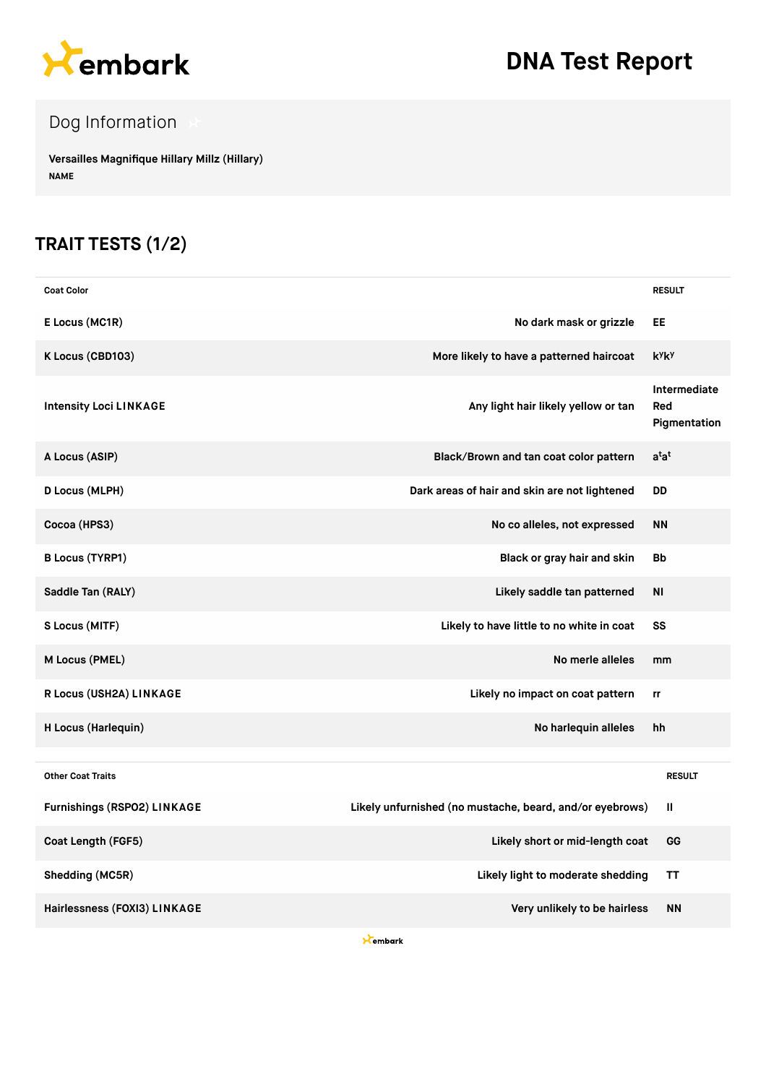

# **DNA Test Report**

## Dog Information

**Versailles Magnifique Hillary Millz (Hillary) NAME**

### **TRAIT TESTS (1/2)**

| <b>Coat Color</b>                  |                                                          | <b>RESULT</b>                       |
|------------------------------------|----------------------------------------------------------|-------------------------------------|
| E Locus (MC1R)                     | No dark mask or grizzle                                  | EE                                  |
| K Locus (CBD103)                   | More likely to have a patterned haircoat                 | k <sup>y</sup> k <sup>y</sup>       |
| <b>Intensity Loci LINKAGE</b>      | Any light hair likely yellow or tan                      | Intermediate<br>Red<br>Pigmentation |
| A Locus (ASIP)                     | Black/Brown and tan coat color pattern                   | $a^{\dagger}a^{\dagger}$            |
| D Locus (MLPH)                     | Dark areas of hair and skin are not lightened            | DD                                  |
| Cocoa (HPS3)                       | No co alleles, not expressed                             | <b>NN</b>                           |
| <b>B Locus (TYRP1)</b>             | Black or gray hair and skin                              | <b>Bb</b>                           |
| Saddle Tan (RALY)                  | Likely saddle tan patterned                              | <b>NI</b>                           |
| S Locus (MITF)                     | Likely to have little to no white in coat                | SS                                  |
| M Locus (PMEL)                     | No merle alleles                                         | mm                                  |
| R Locus (USH2A) LINKAGE            | Likely no impact on coat pattern                         | rr                                  |
| H Locus (Harlequin)                | No harlequin alleles                                     | hh                                  |
| <b>Other Coat Traits</b>           |                                                          | <b>RESULT</b>                       |
| <b>Furnishings (RSPO2) LINKAGE</b> | Likely unfurnished (no mustache, beard, and/or eyebrows) | $\mathbf{II}$                       |
| Coat Length (FGF5)                 | Likely short or mid-length coat                          | GG                                  |
| Shedding (MC5R)                    | Likely light to moderate shedding                        | ΤT                                  |
| Hairlessness (FOXI3) LINKAGE       | Very unlikely to be hairless                             | <b>NN</b>                           |

**K**embark